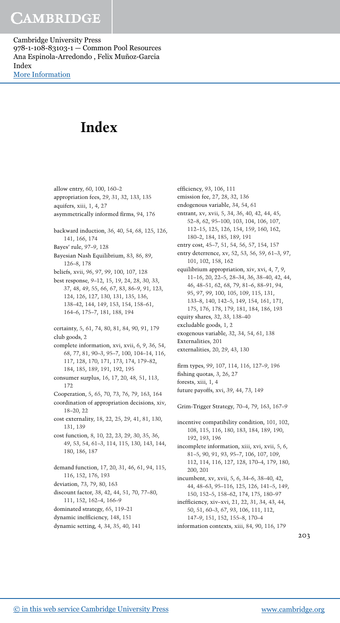Cambridge University Press 978-1-108-83103-1 — Common Pool Resources Ana Espinola-Arredondo , Felix Muñoz-Garcia Index [More Information](www.cambridge.org/9781108831031)

## **Index**

allow entry, 60, 100, 160–2 appropriation fees, 29, 31, 32, 133, 135 aquifers, xiii, 1, 4, 27 asymmetrically informed firms, 94, 176 backward induction, 36, 40, 54, 68, 125, 126, 141, 166, 174 Bayes' rule, 97–9, 128 Bayesian Nash Equilibrium, 83, 86, 89, 126–8, 178 beliefs, xvii, 96, 97, 99, 100, 107, 128 best response, 9–12, 15, 19, 24, 28, 30, 33, 37, 48, 49, 55, 66, 67, 83, 86–9, 91, 123, 124, 126, 127, 130, 131, 135, 136, 138–42, 144, 149, 153, 154, 158–61, 164–6, 175–7, 181, 188, 194 certainty, 5, 61, 74, 80, 81, 84, 90, 91, 179 club goods, 2 complete information, xvi, xvii, 6, 9, 36, 54, 68, 77, 81, 90–3, 95–7, 100, 104–14, 116, 117, 128, 170, 171, 173, 174, 179–82, 184, 185, 189, 191, 192, 195 consumer surplus, 16, 17, 20, 48, 51, 113, 172 Cooperation, 5, 65, 70, 73, 76, 79, 163, 164 coordination of appropriation decisions, xiv, 18–20, 22 cost externality, 18, 22, 25, 29, 41, 81, 130, 131, 139 cost function, 8, 10, 22, 23, 29, 30, 35, 36, 49, 53, 54, 61–3, 114, 115, 130, 143, 144, 180, 186, 187 demand function, 17, 20, 31, 46, 61, 94, 115, 116, 152, 176, 193 deviation, 73, 79, 80, 163 discount factor, 38, 42, 44, 51, 70, 77–80, 111, 152, 162–4, 166–9 dominated strategy, 65, 119–21 dynamic inefficiency, 148, 151 dynamic setting, 4, 34, 35, 40, 141

efficiency, 93, 106, 111 emission fee, 27, 28, 32, 136 endogenous variable, 34, 54, 61 entrant, xv, xvii, 5, 34, 36, 40, 42, 44, 45, 52–8, 62, 95–100, 103, 104, 106, 107, 112–15, 125, 126, 154, 159, 160, 162, 180–2, 184, 185, 189, 191 entry cost, 45–7, 51, 54, 56, 57, 154, 157 entry deterrence, xv, 52, 53, 56, 59, 61–3, 97, 101, 102, 158, 162 equilibrium appropriation, xiv, xvi, 4, 7, 9, 11–16, 20, 22–5, 28–34, 36, 38–40, 42, 44, 46, 48–51, 62, 68, 79, 81–6, 88–91, 94, 95, 97, 99, 100, 105, 109, 115, 131, 133–8, 140, 142–5, 149, 154, 161, 171, 175, 176, 178, 179, 181, 184, 186, 193 equity shares, 32, 33, 138–40 excludable goods, 1, 2 exogenous variable, 32, 34, 54, 61, 138 Externalities, 201 externalities, 20, 29, 43, 130 firm types, 99, 107, 114, 116, 127–9, 196 fishing quotas, 3, 26, 27 forests, xiii, 1, 4 future payoffs, xvi, 39, 44, 73, 149 Grim-Trigger Strategy, 70–4, 79, 163, 167–9 incentive compatibility condition, 101, 102, 108, 115, 116, 180, 183, 184, 189, 190, 192, 193, 196 incomplete information, xiii, xvi, xvii, 5, 6, 81–5, 90, 91, 93, 95–7, 106, 107, 109, 112, 114, 116, 127, 128, 170–4, 179, 180, 200, 201 incumbent, xv, xvii, 5, 6, 34–6, 38–40, 42, 44, 48–63, 95–116, 125, 126, 141–5, 149, 150, 152–5, 158–62, 174, 175, 180–97 inefficiency, xiv–xvi, 21, 22, 31, 34, 43, 44, 50, 51, 60–3, 67, 93, 106, 111, 112, 147–9, 151, 152, 155–8, 170–4 information contexts, xiii, 84, 90, 116, 179